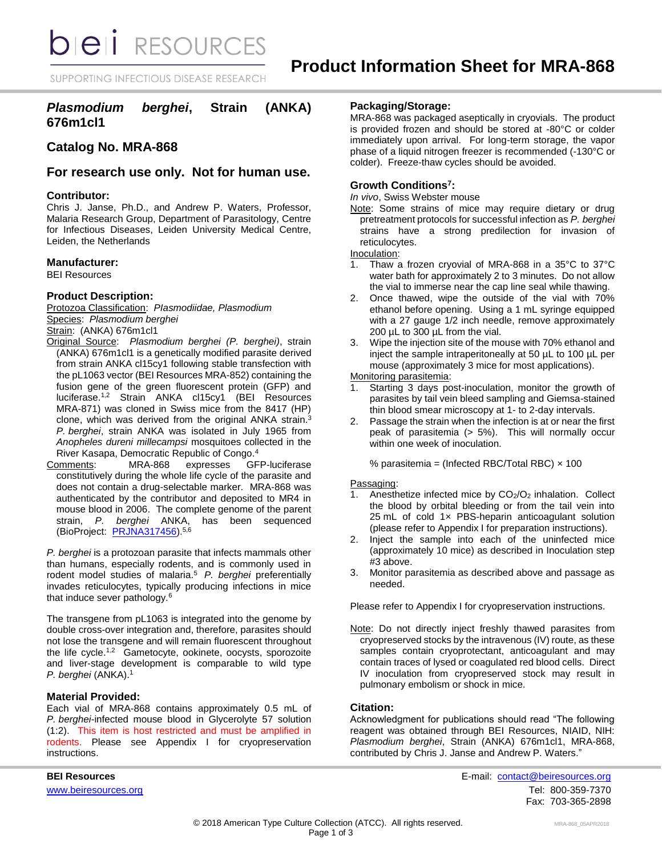*DIEI RESOURCES* 

SUPPORTING INFECTIOUS DISEASE RESEARCH

# *Plasmodium berghei***, Strain (ANKA) 676m1cl1**

# **Catalog No. MRA-868**

# **For research use only. Not for human use.**

### **Contributor:**

Chris J. Janse, Ph.D., and Andrew P. Waters, Professor, Malaria Research Group, Department of Parasitology, Centre for Infectious Diseases, Leiden University Medical Centre, Leiden, the Netherlands

### **Manufacturer:**

BEI Resources

### **Product Description:**

Protozoa Classification: *PIasmodiidae, Plasmodium* Species: *Plasmodium berghei*

Strain: (ANKA) 676m1cl1

- Original Source: *Plasmodium berghei (P. berghei)*, strain (ANKA) 676m1cl1 is a genetically modified parasite derived from strain ANKA cl15cy1 following stable transfection with the pL1063 vector (BEI Resources MRA-852) containing the fusion gene of the green fluorescent protein (GFP) and luciferase.1,2 Strain ANKA cl15cy1 (BEI Resources MRA-871) was cloned in Swiss mice from the 8417 (HP) clone, which was derived from the original ANKA strain.<sup>3</sup> *P. berghei*, strain ANKA was isolated in July 1965 from *Anopheles dureni millecampsi* mosquitoes collected in the River Kasapa, Democratic Republic of Congo.<sup>4</sup>
- Comments: MRA-868 expresses GFP-luciferase constitutively during the whole life cycle of the parasite and does not contain a drug-selectable marker. MRA-868 was authenticated by the contributor and deposited to MR4 in mouse blood in 2006. The complete genome of the parent strain, *P. berghei* ANKA, has been sequenced (BioProject: [PRJNA317456\)](https://www.ncbi.nlm.nih.gov/bioproject/PRJNA317456).5,6

*P. berghei* is a protozoan parasite that infects mammals other than humans, especially rodents, and is commonly used in rodent model studies of malaria.<sup>5</sup>*P. berghei* preferentially invades reticulocytes, typically producing infections in mice that induce sever pathology.<sup>6</sup>

The transgene from pL1063 is integrated into the genome by double cross-over integration and, therefore, parasites should not lose the transgene and will remain fluorescent throughout the life cycle.<sup>1,2</sup> Gametocyte, ookinete, oocysts, sporozoite and liver-stage development is comparable to wild type *P. berghei* (ANKA).<sup>1</sup>

### **Material Provided:**

Each vial of MRA-868 contains approximately 0.5 mL of *P. berghei*-infected mouse blood in Glycerolyte 57 solution (1:2). This item is host restricted and must be amplified in rodents. Please see Appendix I for cryopreservation instructions.

## **Packaging/Storage:**

MRA-868 was packaged aseptically in cryovials. The product is provided frozen and should be stored at -80°C or colder immediately upon arrival. For long-term storage, the vapor phase of a liquid nitrogen freezer is recommended (-130°C or colder). Freeze-thaw cycles should be avoided.

## **Growth Conditions<sup>7</sup> :**

*In vivo*, Swiss Webster mouse

Note: Some strains of mice may require dietary or drug pretreatment protocols for successful infection as *P. berghei* strains have a strong predilection for invasion of reticulocytes.

Inoculation:

- 1. Thaw a frozen cryovial of MRA-868 in a 35°C to 37°C water bath for approximately 2 to 3 minutes. Do not allow the vial to immerse near the cap line seal while thawing.
- 2. Once thawed, wipe the outside of the vial with 70% ethanol before opening. Using a 1 mL syringe equipped with a 27 gauge 1/2 inch needle, remove approximately 200 µL to 300 µL from the vial.
- 3. Wipe the injection site of the mouse with 70% ethanol and inject the sample intraperitoneally at 50 µL to 100 µL per mouse (approximately 3 mice for most applications).

Monitoring parasitemia:

- Starting 3 days post-inoculation, monitor the growth of parasites by tail vein bleed sampling and Giemsa-stained thin blood smear microscopy at 1- to 2-day intervals.
- 2. Passage the strain when the infection is at or near the first peak of parasitemia (> 5%). This will normally occur within one week of inoculation.

% parasitemia = (Infected RBC/Total RBC)  $\times$  100

### Passaging:

- 1. Anesthetize infected mice by CO2/O<sup>2</sup> inhalation. Collect the blood by orbital bleeding or from the tail vein into 25 mL of cold 1x PBS-heparin anticoagulant solution (please refer to Appendix I for preparation instructions).
- 2. Inject the sample into each of the uninfected mice (approximately 10 mice) as described in Inoculation step #3 above.
- 3. Monitor parasitemia as described above and passage as needed.

Please refer to Appendix I for cryopreservation instructions.

Note: Do not directly inject freshly thawed parasites from cryopreserved stocks by the intravenous (IV) route, as these samples contain cryoprotectant, anticoagulant and may contain traces of lysed or coagulated red blood cells. Direct IV inoculation from cryopreserved stock may result in pulmonary embolism or shock in mice.

### **Citation:**

Acknowledgment for publications should read "The following reagent was obtained through BEI Resources, NIAID, NIH: *Plasmodium berghei*, Strain (ANKA) 676m1cl1, MRA-868, contributed by Chris J. Janse and Andrew P. Waters."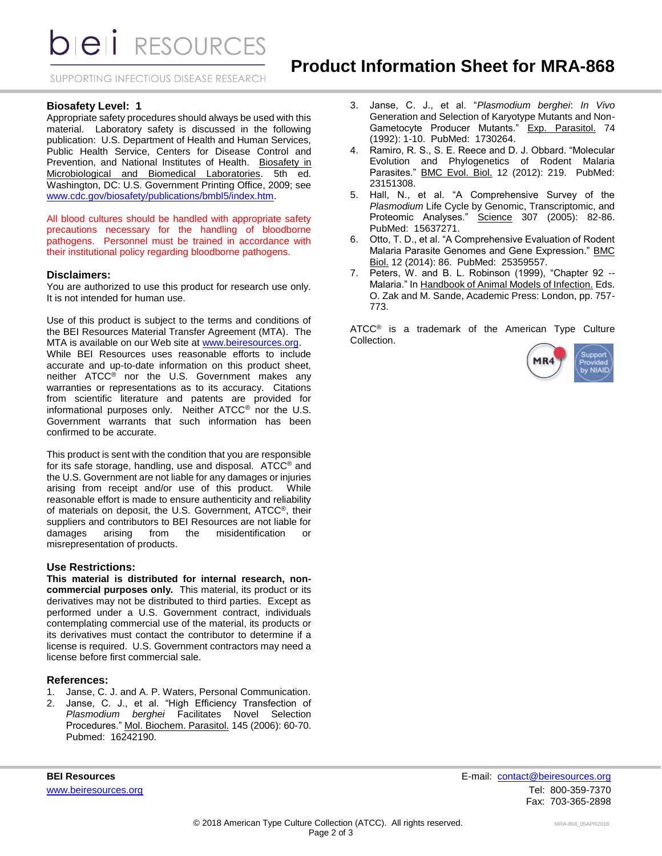**DIEII** RESOURCES

SUPPORTING INFECTIOUS DISEASE RESEARCH

### **Biosafety Level: 1**

Appropriate safety procedures should always be used with this material. Laboratory safety is discussed in the following publication: U.S. Department of Health and Human Services, Public Health Service, Centers for Disease Control and Prevention, and National Institutes of Health. Biosafety in Microbiological and Biomedical Laboratories. 5th ed. Washington, DC: U.S. Government Printing Office, 2009; see [www.cdc.gov/biosafety/publications/bmbl5/index.htm.](http://www.cdc.gov/biosafety/publications/bmbl5/index.htm)

All blood cultures should be handled with appropriate safety precautions necessary for the handling of bloodborne pathogens. Personnel must be trained in accordance with their institutional policy regarding bloodborne pathogens.

#### **Disclaimers:**

You are authorized to use this product for research use only. It is not intended for human use.

Use of this product is subject to the terms and conditions of the BEI Resources Material Transfer Agreement (MTA). The MTA is available on our Web site at [www.beiresources.org.](http://www.beiresources.org/) While BEI Resources uses reasonable efforts to include accurate and up-to-date information on this product sheet, neither ATCC® nor the U.S. Government makes any warranties or representations as to its accuracy. Citations from scientific literature and patents are provided for informational purposes only. Neither ATCC® nor the U.S. Government warrants that such information has been confirmed to be accurate.

This product is sent with the condition that you are responsible for its safe storage, handling, use and disposal. ATCC® and the U.S. Government are not liable for any damages or injuries arising from receipt and/or use of this product. While reasonable effort is made to ensure authenticity and reliability of materials on deposit, the U.S. Government, ATCC®, their suppliers and contributors to BEI Resources are not liable for damages arising from the misidentification or misrepresentation of products.

#### **Use Restrictions:**

**This material is distributed for internal research, noncommercial purposes only.** This material, its product or its derivatives may not be distributed to third parties. Except as performed under a U.S. Government contract, individuals contemplating commercial use of the material, its products or its derivatives must contact the contributor to determine if a license is required. U.S. Government contractors may need a license before first commercial sale.

#### **References:**

- 1. Janse, C. J. and A. P. Waters, Personal Communication.
- 2. Janse, C. J., et al. "High Efficiency Transfection of *Plasmodium berghei* Facilitates Novel Selection Procedures." Mol. Biochem. Parasitol. 145 (2006): 60-70. Pubmed: 16242190.
- 3. Janse, C. J., et al. "*Plasmodium berghei*: *In Vivo* Generation and Selection of Karyotype Mutants and Non-Gametocyte Producer Mutants." Exp. Parasitol. 74 (1992): 1-10. PubMed: 1730264.
- 4. Ramiro, R. S., S. E. Reece and D. J. Obbard. "Molecular Evolution and Phylogenetics of Rodent Malaria Parasites." BMC Evol. Biol. 12 (2012): 219. PubMed: 23151308.
- 5. Hall, N., et al. "A Comprehensive Survey of the *Plasmodium* Life Cycle by Genomic, Transcriptomic, and Proteomic Analyses." Science 307 (2005): 82-86. PubMed: 15637271.
- 6. Otto, T. D., et al. "A Comprehensive Evaluation of Rodent Malaria Parasite Genomes and Gene Expression." BMC Biol. 12 (2014): 86. PubMed: 25359557.
- 7. Peters, W. and B. L. Robinson (1999), "Chapter 92 -- Malaria." In Handbook of Animal Models of Infection. Eds. O. Zak and M. Sande, Academic Press: London, pp. 757- 773.

ATCC<sup>®</sup> is a trademark of the American Type Culture Collection.